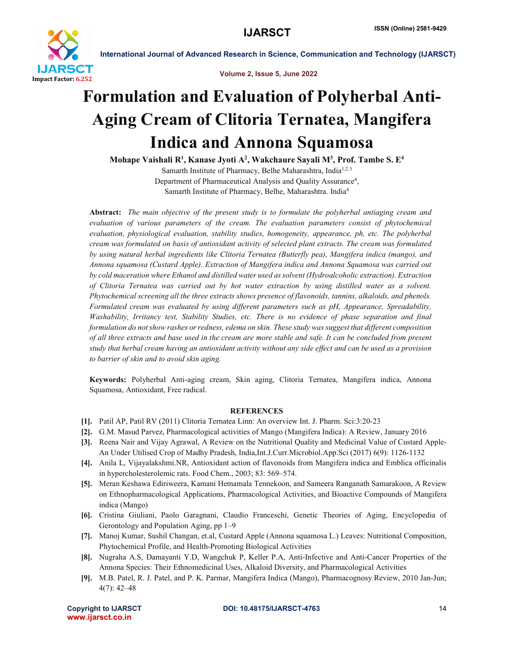

International Journal of Advanced Research in Science, Communication and Technology (IJARSCT)

Volume 2, Issue 5, June 2022

## Formulation and Evaluation of Polyherbal Anti-Aging Cream of Clitoria Ternatea, Mangifera Indica and Annona Squamosa

Mohape Vaishali R<sup>1</sup>, Kanase Jyoti A<sup>2</sup>, Wakchaure Sayali M<sup>3</sup>, Prof. Tambe S. E<sup>4</sup> Samarth Institute of Pharmacy, Belhe Maharashtra, India1,2.3 Department of Pharmaceutical Analysis and Quality Assurance<sup>4</sup>, Samarth Institute of Pharmacy, Belhe, Maharashtra. India4

Abstract: *The main objective of the present study is to formulate the polyherbal antiaging cream and evaluation of various parameters of the cream. The evaluation parameters consist of phytochemical evaluation, physiological evaluation, stability studies, homogeneity, appearance, ph, etc. The polyherbal cream was formulated on basis of antioxidant activity of selected plant extracts. The cream was formulated by using natural herbal ingredients like Clitoria Ternatea (Butterfly pea), Mangifera indica (mango), and Annona squamosa (Custard Apple). Extraction of Mangifera indica and Annona Squamosa was carried out by cold maceration where Ethanol and distilled water used as solvent (Hydroalcoholic extraction). Extraction of Clitoria Ternatea was carried out by hot water extraction by using distilled water as a solvent. Phytochemical screening all the three extracts shows presence of flavonoids, tannins, alkaloids, and phenols. Formulated cream was evaluated by using different parameters such as pH, Appearance, Spreadability, Washability, Irritancy test, Stability Studies, etc. There is no evidence of phase separation and final formulation do not show rashes or redness, edema on skin. These study was suggest that different composition of all three extracts and base used in the cream are more stable and safe. It can be concluded from present study that herbal cream having an antioxidant activity without any side effect and can be used as a provision to barrier of skin and to avoid skin aging.*

Keywords: Polyherbal Anti-aging cream, Skin aging, Clitoria Ternatea, Mangifera indica, Annona Squamosa, Antioxidant, Free radical.

## **REFERENCES**

- [1]. Patil AP, Patil RV (2011) Clitoria Ternatea Linn: An overview Int. J. Pharm. Sci:3:20-23
- [2]. G.M. Masud Parvez, Pharmacological activities of Mango (Mangifera Indica): A Review, January 2016
- [3]. Reena Nair and Vijay Agrawal, A Review on the Nutritional Quality and Medicinal Value of Custard Apple-An Under Utilised Crop of Madhy Pradesh, India,Int.J.Curr.Microbiol.App.Sci (2017) 6(9): 1126-1132
- [4]. Anila L, Vijayalakshmi.NR, Antioxidant action of flavonoids from Mangifera indica and Emblica officinalis in hypercholesterolemic rats. Food Chem., 2003; 83: 569–574.
- [5]. Meran Keshawa Ediriweera, Kamani Hemamala Tennekoon, and Sameera Ranganath Samarakoon, A Review on Ethnopharmacological Applications, Pharmacological Activities, and Bioactive Compounds of Mangifera indica (Mango)
- [6]. Cristina Giuliani, Paolo Garagnani, Claudio Franceschi, Genetic Theories of Aging, Encyclopedia of Gerontology and Population Aging, pp 1–9
- [7]. Manoj Kumar, Sushil Changan, et.al, Custard Apple (Annona squamosa L.) Leaves: Nutritional Composition, Phytochemical Profile, and Health-Promoting Biological Activities
- [8]. Nugraha A.S, Damayanti Y.D, Wangchuk P, Keller P.A, Anti-Infective and Anti-Cancer Properties of the Annona Species: Their Ethnomedicinal Uses, Alkaloid Diversity, and Pharmacological Activities
- [9]. M.B. Patel, R. J. Patel, and P. K. Parmar, Mangifera Indica (Mango), Pharmacognosy Review, 2010 Jan-Jun; 4(7): 42–48